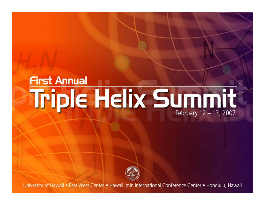# **First Annual** Triple Helix Summit February 12 - 13, 2007



University of Hawaii . East West Center . Hawaii Imin International Conference Center . Honolulu, Hawaii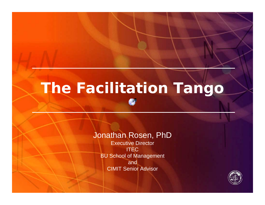# **The Facilitation Tango**

#### Jonathan Rosen, PhD

Executive Director ITEC BU School of Management and CIMIT Senior Advisor

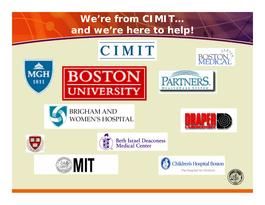#### **We're from CIMIT… and we're here to help!**



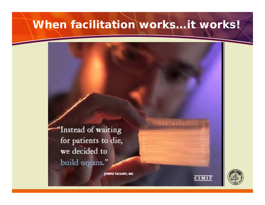#### When facilitation works...it works!

"Instead of waiting for patients to die, we decided to build organs."

JOSEPH VACANTI, MD



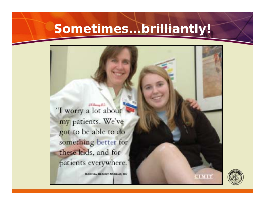## **Sometimes…brilliantly!**

"I worry a lot about my patients. We've got to be able to do something better for these kids, and for patients everywhere.

**J.W. Harrison M.D.** 

MARTHA MEANEY MUREAV, MD



стміт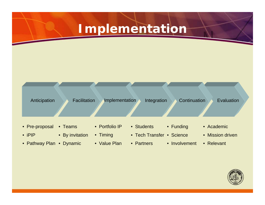### **Implementation**



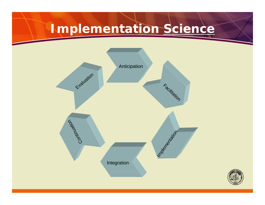# **Implementation** *Science*



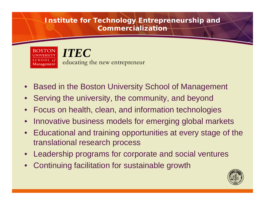#### **Institute for Technology Entrepreneurship and Commercialization**



- Based in the Boston University School of Management
- Serving the university, the community, and beyond
- Focus on health, clean, and information technologies
- Innovative business models for emerging global markets
- Educational and training opportunities at every stage of the translational research process
- Leadership programs for corporate and social ventures
- Continuing facilitation for sustainable growth

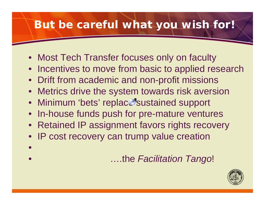### **But be careful what you wish for!**

- Most Tech Transfer focuses only on faculty
- Incentives to move from basic to applied research
- Drift from academic and non-profit missions
- Metrics drive the system towards risk aversion
- Minimum 'bets' replace sustained support
- In-house funds push for pre-mature ventures
- Retained IP assignment favors rights recovery
- IP cost recovery can trump value creation
- $\bullet$ • ….the *Facilitation Tango*!